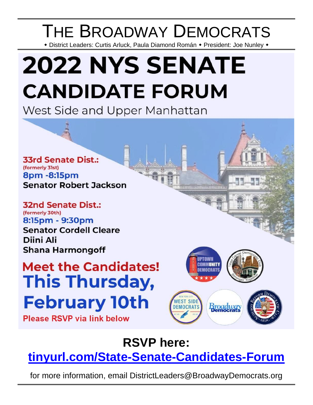## THE BROADWAY DEMOCRATS

\* District Leaders: Curtis Arluck, Paula Diamond Román \* President: Joe Nunley \*

# **2022 NYS SENATE CANDIDATE FORUM**

West Side and Upper Manhattan

**33rd Senate Dist.:** (formerly 31st) 8pm - 8:15pm **Senator Robert Jackson** 

**32nd Senate Dist.:** (formerly 30th) 8:15pm - 9:30pm **Senator Cordell Cleare** Diini Ali **Shana Harmongoff** 

## **Meet the Candidates! This Thursday, February 10th**

**Please RSVP via link below** 



<u>Immunesiuninnen</u>

**RSVP here:** 

**[tinyurl.com/State-Senate-Candidates-Forum](https://tinyurl.com/State-Senate-Candidates-Forum)**

for more information, email DistrictLeaders@BroadwayDemocrats.org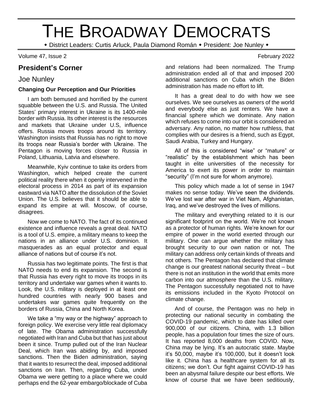## THE BROADWAY DEMOCRATS

\* District Leaders: Curtis Arluck, Paula Diamond Román \* President: Joe Nunley \*

Volume 47, Issue 2 February 2022

## **President's Corner**

### Joe Nunley

#### **Changing Our Perception and Our Priorities**

I am both bemused and horrified by the current squabble between the U.S. and Russia. The United States' primary interest in Ukraine is its 1400-mile border with Russia. Its other interest is the resources and markets that Ukraine under U.S, influence offers. Russia moves troops around its territory. Washington insists that Russia has no right to move its troops near Russia's border with Ukraine. The Pentagon is moving forces closer to Russia in Poland, Lithuania, Latvia and elsewhere.

Meanwhile, Kyiv continue to take its orders from Washington, which helped create the current political reality there when it openly intervened in the electoral process in 2014 as part of its expansion eastward via NATO after the dissolution of the Soviet Union. The U.S. believes that it should be able to expand its empire at will. Moscow, of course, disagrees.

Now we come to NATO. The fact of its continued existence and influence reveals a great deal. NATO is a tool of U.S. empire, a military means to keep the nations in an alliance under U.S. dominion. It masquerades as an equal protector and equal alliance of nations but of course it's not.

Russia has two legitimate points. The first is that NATO needs to end its expansion. The second is that Russia has every right to move its troops in its territory and undertake war games when it wants to. Look, the U.S. military is deployed in at least one hundred countries with nearly 900 bases and undertakes war games quite frequently on the borders of Russia, China and North Korea.

We take a "my way or the highway" approach to foreign policy. We exercise very little real diplomacy of late. The Obama administration successfully negotiated with Iran and Cuba but that has just about been it since. Trump pulled out of the Iran Nuclear Deal, which Iran was abiding by, and imposed sanctions. Then the Biden administration, saying that it wants to resurrect the deal, imposed additional sanctions on Iran. Then, regarding Cuba, under Obama we were getting to a place where we could perhaps end the 62-year embargo/blockade of Cuba

and relations had been normalized. The Trump administration ended all of that and imposed 200 additional sanctions on Cuba which the Biden administration has made no effort to lift.

It has a great deal to do with how we see ourselves. We see ourselves as owners of the world and everybody else as just renters. We have a financial sphere which we dominate. Any nation which refuses to come into our orbit is considered an adversary. Any nation, no matter how ruthless, that complies with our desires is a friend, such as Egypt, Saudi Arabia, Turkey and Hungary.

All of this is considered "wise" or "mature" or "realistic" by the establishment which has been taught in elite universities of the necessity for America to exert its power in order to maintain "security" (I'm not sure for whom anymore).

This policy which made a lot of sense in 1947 makes no sense today. We've seen the dividends. We've lost war after war in Viet Nam, Afghanistan, Iraq, and we've destroyed the lives of millions.

The military and everything related to it is our significant footprint on the world. We're not known as a protector of human rights. We're known for our empire of power in the world exerted through our military. One can argue whether the military has brought security to our own nation or not. The military can address only certain kinds of threats and not others. The Pentagon has declared that climate change is our greatest national security threat – but there is not an institution in the world that emits more carbon into our atmosphere than the U.S. military. The Pentagon successfully negotiated not to have its emissions included in the Kyoto Protocol on climate change.

And of course, the Pentagon was no help in protecting our national security in combating the COVID-19 pandemic, which to date has killed over 900,000 of our citizens. China, with 1.3 billion people, has a population four times the size of ours. It has reported 8,000 deaths from COVID. Now, China may be lying. It's an autocratic state. Maybe it's 50,000, maybe it's 100,000, but it doesn't look like it. China has a healthcare system for all its citizens; we don't. Our fight against COVID-19 has been an abysmal failure despite our best efforts. We know of course that we have been seditiously,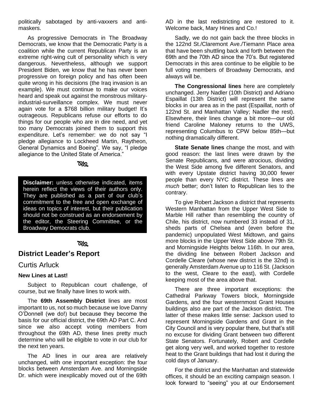politically sabotaged by anti-vaxxers and antimaskers.

As progressive Democrats in The Broadway Democrats, we know that the Democratic Party is a coalition while the current Republican Party is an extreme right-wing cult of personality which is very dangerous. Nevertheless, although we support President Biden, we know that he has never been progressive on foreign policy and has often been quite wrong in his decisions (the Iraq invasion is an example). We must continue to make our voices heard and speak out against the monstrous militaryindustrial-surveillance complex. We must never again vote for a \$768 billion military budget! It's outrageous. Republicans refuse our efforts to do things for our people who are in dire need, and yet too many Democrats joined them to support this expenditure. Let's remember: we do not say "I pledge allegiance to Lockheed Martin, Raytheon, General Dynamics and Boeing". We say, "I pledge allegiance to the United State of America."

**RKQ** 

**Disclaimer:** unless otherwise indicated, items herein reflect the views of their authors only. They are published as a part of our club's commitment to the free and open exchange of ideas on topics of interest, but their publication should not be construed as an endorsement by the editor, the Steering Committee, or the Broadway Democrats club.

#### ೧೫೦

## **District Leader's Report**

#### Curtis Arluck

#### **New Lines at Last!**

Subject to Republican court challenge, of course, but we finally have lines to work with.

The **69th Assembly District** lines are most important to us, not so much because we love Danny O'Donnell (we do!) but because they become the basis for our official district, the 69th AD Part C. And since we also accept voting members from throughout the 69th AD, these lines pretty much determine who will be eligible to vote in our club for the next ten years.

The AD lines in our area are relatively unchanged, with one important exception: the four blocks between Amsterdam Ave. and Morningside Dr. which were inexplicably moved out of the 69th

AD in the last redistricting are restored to it. Welcome back, Mary Hines and Co.!

Sadly, we do not gain back the three blocks in the 122nd St./Claremont Ave./Tiemann Place area that have been shuttling back and forth between the 69th and the 70th AD since the 70's. But registered Democrats in this area continue to be eligible to be full voting members of Broadway Democrats, and always will be.

**The Congressional lines** here are completely unchanged. Jerry Nadler (10th District) and Adriano Espaillat (13th District) will represent the same blocks in our area as in the past (Espaillat, north of 122nd St. and Manhattan Valley; Nadler the rest). Elsewhere, their lines change a bit more—our old friend Caroline Maloney returns to the UWS, representing Columbus to CPW below 85th—but nothing dramatically different.

**State Senate lines** change the most, and with good reason: the last lines were drawn by the Senate Republicans, and were atrocious, dividing the West Side among five different Senators, and with every Upstate district having 30,000 fewer people than every NYC district. These lines are *much* better; don't listen to Republican lies to the contrary.

To give Robert Jackson a district that represents Western Manhattan from the Upper West Side to Marble Hill rather than resembling the country of Chile, his district, now numbered 33 instead of 31, sheds parts of Chelsea and (even before the pandemic) unpopulated West Midtown, and gains more blocks in the Upper West Side above 79th St. and Morningside Heights below 116th. In our area, the dividing line between Robert Jackson and Cordelle Cleare (whose new district is the 32nd) is generally Amsterdam Avenue up to 116 St. (Jackson to the west, Cleare to the east), with Cordelle keeping most of the area above that.

There are three important exceptions: the Cathedral Parkway Towers block, Morningside Gardens, and the four westernmost Grant Houses buildings also are part of the Jackson district. The latter of these makes little sense: Jackson used to represent Morningside Gardens and Grant in the City Council and is very popular there, but that's still no excuse for dividing Grant between two different State Senators. Fortunately, Robert and Cordelle get along very well, and worked together to restore heat to the Grant buildings that had lost it during the cold days of January.

For the district and the Manhattan and statewide offices, it should be an exciting campaign season. I look forward to "seeing" you at our Endorsement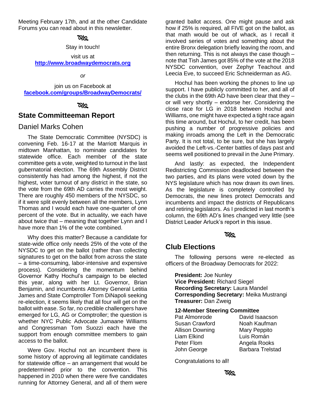Meeting February 17th, and at the other Candidate Forums you can read about in this newsletter.

#### ೧ನಿ

Stay in touch!

visit us at **[http://www.broadwaydemocrats.org](http://www.broadwaydemocrats.org/)**

*or*

join us on Facebook at **[facebook.com/groups/BroadwayDemocrats/](file:///G:/2021.10.05%20Bdwy%20Dems%20newsletter/facebook.com/groups/BroadwayDemocrats/)**

#### **RYS**

### **State Committeeman Report**

#### Daniel Marks Cohen

The State Democratic Committee (NYSDC) is convening Feb. 16-17 at the Marriott Marquis in midtown Manhattan, to nominate candidates for statewide office. Each member of the state committee gets a vote, weighted to turnout in the last gubernatorial election. The 69th Assembly District consistently has had among the highest, if not the highest, voter turnout of any district in the state, so the vote from the 69th AD carries the most weight. There are roughly 450 members of the NYSDC, so if it were split evenly between all the members, Lynn Thomas and I would each have one-quarter of one percent of the vote. But in actuality, we each have about twice that – meaning that together Lynn and I have more than 1% of the vote combined.

Why does this matter? Because a candidate for state-wide office only needs 25% of the vote of the NYSDC to get on the ballot (rather than collecting signatures to get on the ballot from across the state – a time-consuming, labor-intensive and expensive process). Considering the momentum behind Governor Kathy Hochul's campaign to be elected this year, along with her Lt. Governor, Brian Benjamin, and incumbents Attorney General Letitia James and State Comptroller Tom DiNapoli seeking re-election, it seems likely that all four will get on the ballot with ease. So far, no credible challengers have emerged for LG, AG or Comptroller; the question is whether NYC Public Advocate Jumaane Williams and Congressman Tom Suozzi each have the support from enough committee members to gain access to the ballot.

Were Gov. Hochul not an incumbent there is some history of approving all legitimate candidates for statewide office – an arrangement that would be predetermined prior to the convention. This happened in 2010 when there were five candidates running for Attorney General, and all of them were

granted ballot access. One might pause and ask how if 25% is required, all FIVE got on the ballot, as that math would be out of whack, as I recall it involved series of votes and something about the entire Bronx delegation briefly leaving the room, and then returning. This is not always the case though – note that Tish James got 85% of the vote at the 2018 NYSDC convention, over Zephyr Teachout and Leecia Eve, to succeed Eric Schneiderman as AG.

Hochul has been working the phones to line up support. I have publicly committed to her, and all of the clubs in the 69th AD have been clear that they – or will very shortly – endorse her. Considering the close race for LG in 2018 between Hochul and Williams, one might have expected a tight race again this time around, but Hochul, to her credit, has been pushing a number of progressive policies and making inroads among the Left in the Democratic Party. It is not total, to be sure, but she has largely avoided the Left-vs.-Center battles of days past and seems well positioned to prevail in the June Primary.

And lastly: as expected, the Independent Redistricting Commission deadlocked between the two parties, and its plans were voted down by the NYS legislature which has now drawn its own lines. As the legislature is completely controlled by Democrats, the new lines protect Democrats and incumbents and impact the districts of Republicans and retiring legislators. As I predicted in last month's column, the 69th AD's lines changed very little (see District Leader Arluck's report in this issue.

#### ೧೩೦

## **Club Elections**

The following persons were re-elected as officers of the Broadway Democrats for 2022:

**President:** Joe Nunley **Vice President:** Richard Siegel **Recording Secretary:** Laura Mandel **Corresponding Secretary:** Meika Mustrangi **Treasurer:** Dan Zweig

#### **12-Member Steering Committee**

| Pat Almonrode   | David Isaacson          |
|-----------------|-------------------------|
| Susan Crawford  | Noah Kaufman            |
| Allison Downing | Mary Peppito            |
| Liam Elkind     | Luis Román              |
| Peter Flom      | Angela Rooks            |
| John George     | <b>Barbara Trelstad</b> |

Congratulations to all!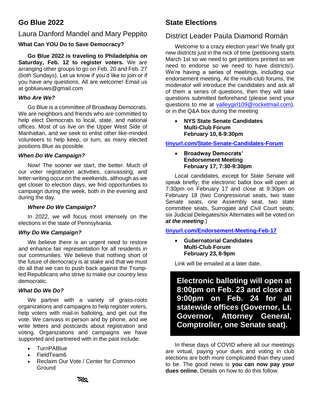## **Go Blue 2022**

### Laura Danford Mandel and Mary Peppito

#### **What Can YOU Do to Save Democracy?**

**Go Blue 2022 is traveling to Philadelphia on Saturday, Feb. 12 to register voters.** We are arranging other groups to go on Feb. 20 and Feb. 27 (both Sundays). Let us know if you'd like to join or if you have any questions. All are welcome! Email us at goblueuws@gmail.com

#### *Who Are We?*

Go Blue is a committee of Broadway Democrats. We are neighbors and friends who are committed to help elect Democrats to local, state, and national offices. Most of us live on the Upper West Side of Manhattan, and we seek to enlist other like-minded volunteers to help keep, or turn, as many elected positions Blue as possible.

#### *When Do We Campaign?*

Now! The sooner we start, the better. Much of our voter registration activities, canvassing, and letter-writing occur on the weekends, although as we get closer to election days, we find opportunities to campaign during the week, both in the evening and during the day.

#### *Where Do We Campaign?*

In 2022, we will focus most intensely on the elections in the state of Pennsylvania.

#### *Why Do We Campaign?*

We believe there is an urgent need to restore and enhance fair representation for all residents in our communities. We believe that nothing short of the future of democracy is at stake and that we must do all that we can to push back against the Trumpled Republicans who strive to make our country less democratic.

#### *What Do We Do?*

We partner with a variety of grass-roots organizations and campaigns to help register voters, help voters with mail-in balloting, and get out the vote. We canvass in person and by phone, and we write letters and postcards about registration and voting. Organizations and campaigns we have supported and partnered with in the past include:

- TurnPABlue
- FieldTeam6
- Reclaim Our Vote / Center for Common Ground

## **State Elections**

## District Leader Paula Diamond Román

Welcome to a crazy election year! We finally got new districts just in the nick of time (petitioning starts March 1st so we need to get petitions printed so we need to endorse so we need to have districts!). We're having a series of meetings, including our endorsement meeting. At the multi-club forums, the moderator will introduce the candidates and ask all of them a series of questions, then they will take questions submitted beforehand (please send your questions to me at [valleygirl109@rocketmail.com\)](about:blank), or in the Q&A box during the meeting

• **NYS State Senate Candidates Multi-Club Forum February 10, 8-9:30pm**

**[tinyurl.com/State-Senate-Candidates-Forum](https://tinyurl.com/State-Senate-Candidates-Forum)**

#### • **Broadway Democrats' Endorsement Meeting February 17, 7:30-9:30pm**

Local candidates, except for State Senate will speak briefly; the electronic ballot box will open at 7:30pm on February 17 and close at 9:30pm on February 18 (two Congressional seats, two state Senate seats, one Assembly seat, two state committee seats, Surrogate and Civil Court seats; six Judicial Delegates/six Alternates will be voted on *at the meeting*.)

**[tinyurl.com/Endorsement-Meeting-Feb-17](https://tinyurl.com/Endorsement-Meeting-Feb-17)**

#### • **Gubernatorial Candidates Multi-Club Forum February 23, 8-9pm**

Link will be emailed at a later date.

**Electronic balloting will open at 8:00pm on Feb. 23 and close at 9:00pm on Feb. 24 for all statewide offices (Governor, Lt. Governor, Attorney General, Comptroller, one Senate seat).**

In these days of COVID where all our meetings are virtual, paying your dues and voting in club elections are both more complicated than they used to be. The good news is **you can now pay your dues online.** Details on how to do this follow.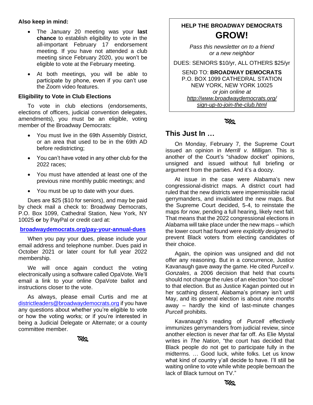#### **Also keep in mind:**

- The January 20 meeting was your **last chance** to establish eligibility to vote in the all-important February 17 endorsement meeting. If you have not attended a club meeting since February 2020, you won't be eligible to vote at the February meeting.
- At both meetings, you will be able to participate by phone, even if you can't use the Zoom video features.

#### **Eligibility to Vote in Club Elections**

To vote in club elections (endorsements, elections of officers, judicial convention delegates, amendments), you must be an eligible, voting member of the Broadway Democrats:

- You must live in the 69th Assembly District, or an area that used to be in the 69th AD before redistricting;
- You can't have voted in any other club for the 2022 races;
- You must have attended at least one of the previous nine monthly public meetings; and
- You must be up to date with your dues.

Dues are \$25 (\$10 for seniors), and may be paid by check mail a check to: Broadway Democrats, P.O. Box 1099, Cathedral Station, New York, NY 10025 **or** by PayPal or credit card at:

#### **[broadwaydemocrats.org/pay-your-annual-dues](http://www.broadwaydemocrats.org/pay-your-annual-dues.html)**

When you pay your dues, please include your email address and telephone number. Dues paid in October 2021 or later count for full year 2022 membership.

We will once again conduct the voting electronically using a software called OpaVote. We'll email a link to your online OpaVote ballot and instructions closer to the vote.

As always, please email Curtis and me at [districtleaders@broadwaydemocrats.org](about:blank) if you have any questions about whether you're eligible to vote or how the voting works; or if you're interested in being a Judicial Delegate or Alternate; or a county committee member.

೧೫೩

## **HELP THE BROADWAY DEMOCRATS GROW!**

*Pass this newsletter on to a friend or a new neighbor*

DUES: SENIORS \$10/yr, ALL OTHERS \$25/yr

SEND TO: **BROADWAY DEMOCRATS** P.O. BOX 1099 CATHEDRAL STATION NEW YORK, NEW YORK 10025 *or join online at http://www.broadwaydemocrats.org/ sign-up-to-join-the-club.html*

#### ৯৯

#### **This Just In …**

On Monday, February 7, the Supreme Court issued an opinion in *Merrill v. Milligan*. This is another of the Court's "shadow docket" opinions, unsigned and issued without full briefing or argument from the parties. And it's a doozy.

At issue in the case were Alabama's new congressional-district maps. A district court had ruled that the new districts were impermissible racial gerrymanders, and invalidated the new maps. But the Supreme Court decided, 5-4, to reinstate the maps *for now*, pending a full hearing, likely next fall. That means that the 2022 congressional elections in Alabama will take place under the new maps – which the lower court had found were *explicitly designed* to prevent Black voters from electing candidates of their choice.

Again, the opinion was unsigned and did not offer any reasoning. But in a concurrence, Justice Kavanaugh gave away the game. He cited *Purcell v. Gonzales*, a 2006 decision that held that courts should not change the rules of an election "too close" to that election. But as Justice Kagan pointed out in her scathing dissent, Alabama's primary isn't until May, and its general election is about *nine months* away – hardly the kind of last-minute changes *Purcell* prohibits.

Kavanaugh's reading of *Purcell* effectively immunizes gerrymanders from judicial review, since another election is never *that* far off. As Elie Mystal writes in *The Nation*, "the court has decided that Black people do not get to participate fully in the midterms. … Good luck, white folks. Let us know what kind of country y'all decide to have. I'll still be waiting online to vote while white people bemoan the lack of Black turnout on TV."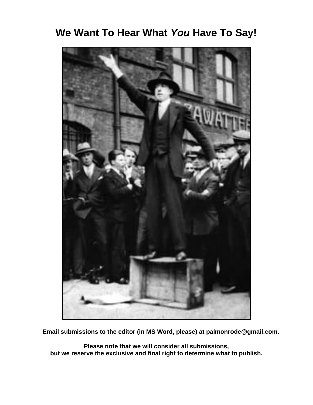## **We Want To Hear What** *You* **Have To Say!**



**Email submissions to the editor (in MS Word, please) at palmonrode@gmail.com.**

**Please note that we will consider all submissions, but we reserve the exclusive and final right to determine what to publish.**